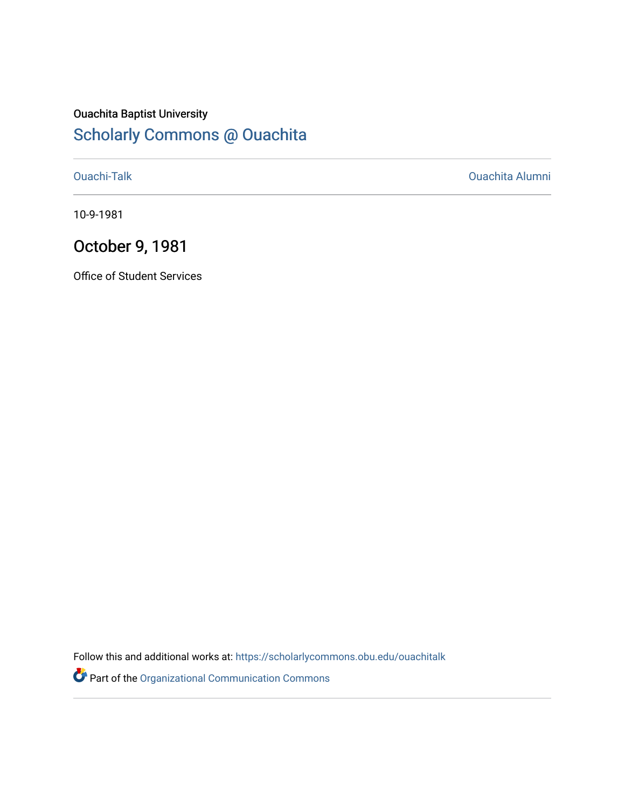#### Ouachita Baptist University [Scholarly Commons @ Ouachita](https://scholarlycommons.obu.edu/)

[Ouachi-Talk](https://scholarlycommons.obu.edu/ouachitalk) [Ouachita Alumni](https://scholarlycommons.obu.edu/obu_alum) 

10-9-1981

### October 9, 1981

Office of Student Services

Follow this and additional works at: [https://scholarlycommons.obu.edu/ouachitalk](https://scholarlycommons.obu.edu/ouachitalk?utm_source=scholarlycommons.obu.edu%2Fouachitalk%2F183&utm_medium=PDF&utm_campaign=PDFCoverPages) 

Part of the [Organizational Communication Commons](http://network.bepress.com/hgg/discipline/335?utm_source=scholarlycommons.obu.edu%2Fouachitalk%2F183&utm_medium=PDF&utm_campaign=PDFCoverPages)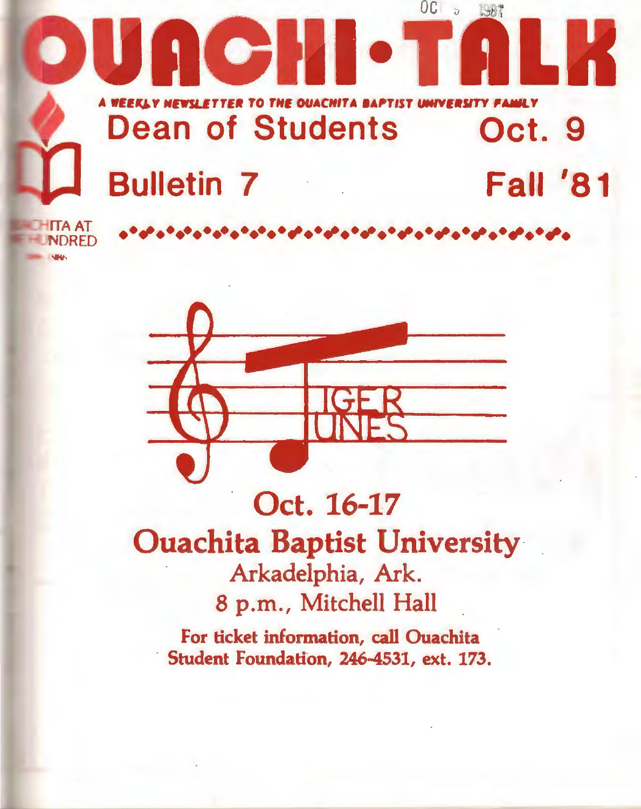



## Oct. 16-17 **Ouachita Baptist University** Arkadelphia, Ark. 8 p.m., Mitchell Hall

For ticket information, call Ouachita Student Foundation, 246-4531, ext. 173.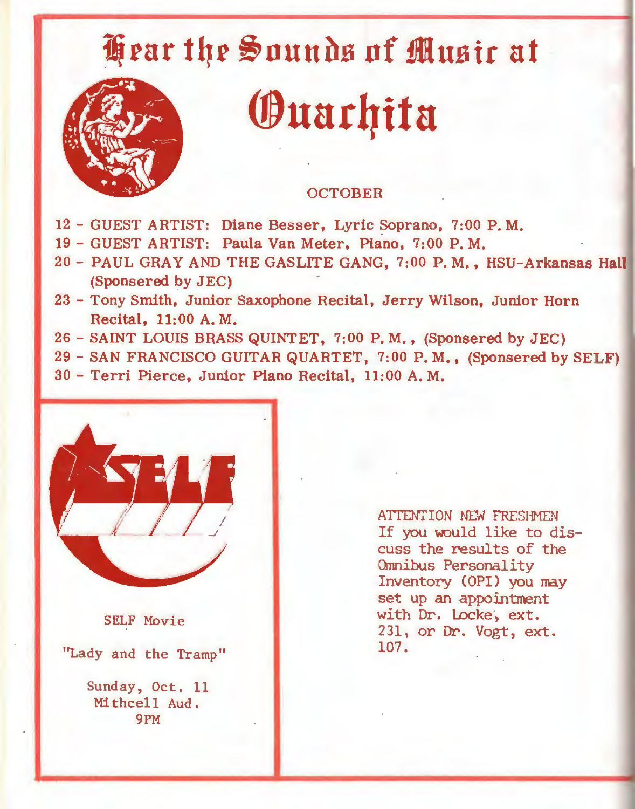# **i;rnr t4r** ~nuubs **nf iOusir at**



# **®uat4ita**

#### **OCTOBER**

- 12 GUEST ARTIST: Diane Besser, Lyric Soprano, 7:00 P.M.
- 19 GUEST ARTIST: Paula Van Meter, Piano, 7:00 P.M.
- 20- PAUL GRAY AND THE GASLITE GANG, 7:00 P.M., HSU-Arkansas Hall (Sponsered by JEC)
- 23 Tony Smith, Junior Saxophone Recital, Jerry Wilson, Junior Horn Recital, 11:00 A.M.
- 26- SAINT LOUIS BRASS QUINTET, 7:00 P.M., (Sponsered by JEC)
- 29- SAN FRANCISCO GUITAR QUARTET, 7:00 P.M., (Sponsered by SELF)
- 30 Terri Pierce, Junior Piano Recital, 11:00 A.M.



SELF Movie

"Lady and the Tramp"

Sunday, Oct. 11 Mithcell Aud. 9PM

ATTENTION NEW FRESHMEN If you would like to discuss the results of the Omnibus Personality Inventory (OPI) you may set up an appointment with Dr. Locke, ext. 231, or Dr. Vogt, ext. 107.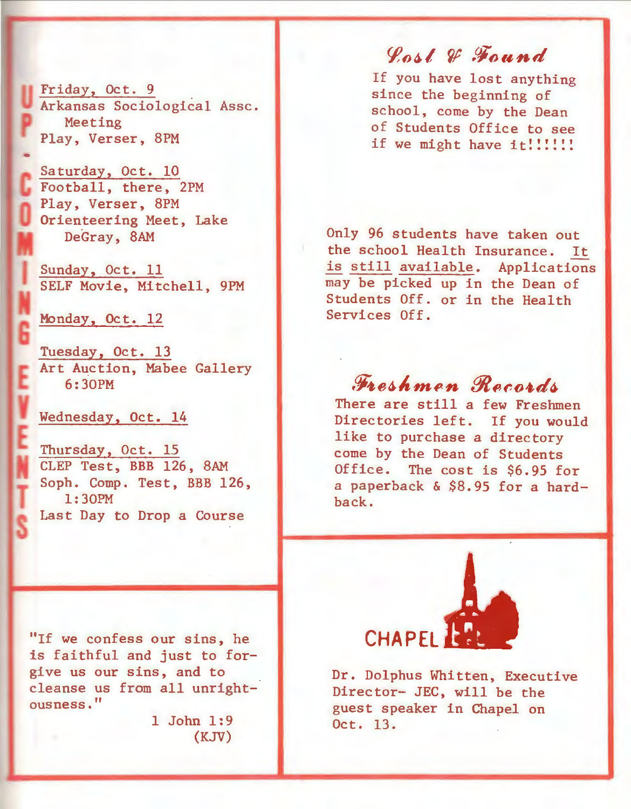Friday, Oct. 9 Arkansas Sociological Assc. Meeting Play, Verser, 8PM

Saturday, Oct. 10 Football, there, 2PM Play, Verser, SPM Orienteering Meet, Lake DeGray, SAM

Sunday, Oct. 11 SELF Movie, Mitchell, 9PM

Monday, Oct. 12

Tuesday, Oct. 13 Art Auction, Mabee Gallery 6:30PM

Wednesday, Oct. 14

Thursday, Oct. 15 CLEP Test, BBB 126, SAM Soph. Comp. Test. BBB 126. 1:30PM Last Day to Drop a Course

"If we confess our sins, he is faithful and just to forgive us our sins, and to cleanse us from all unrightousness."

> 1 John 1:9 (KJV)

~o~l ~ *.Ci'ound* 

If you have lost anything since the beginning of school, come by the Dean of Students Office to see if we might have it!!!!!!!

Only 96 students have taken out the school Health Insurance. It is still available. Applications may be picked up in the Dean of Students Off. or in the Health Services Off.

Freshmen Records<br>There are still a few Freshmen Directories left. If you would like to purchase a directory come by the Dean of Students<br>Office. The cost is \$6.95 for The cost is \$6.95 for a paperback & \$S.95 for a hardback.



Dr. Dolphus Whitten, Executive Director- JEC, will be the guest speaker in Chapel on Oct. 13.